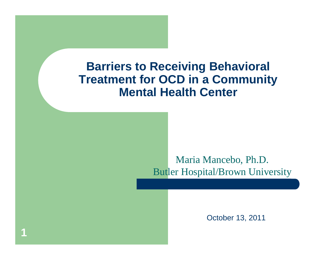#### **Barriers to Receiving Behavioral Treatment for OCD in a Community Mental Health Center**

**1**

#### Maria Mancebo, Ph.D. Butler Hospital/Brown University

October 13, 2011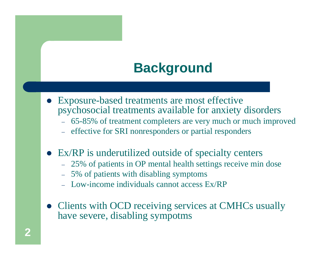#### **Background**

- Exposure-based treatments are most effective psychosocial treatments available for anxiety disorders
	- 65-85% of treatment completers are very much or much improved
	- effective for SRI nonresponders or partial responders
- Ex/RP is underutilized outside of specialty centers
	- 25% of patients in OP mental health settings receive min dose
	- 5% of patients with disabling symptoms
	- Low-income individuals cannot access Ex/RP
- Clients with OCD receiving services at CMHCs usually have severe, disabling sympotms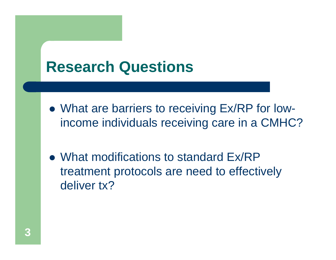## **Research Questions**

- What are barriers to receiving Ex/RP for lowincome individuals receiving care in a CMHC?
- What modifications to standard Ex/RP treatment protocols are need to effectively deliver tx?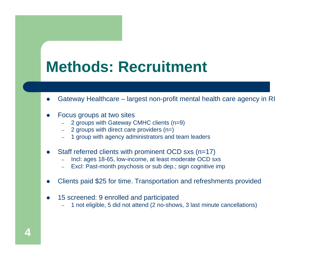## **Methods: Recruitment**

- 0 Gateway Healthcare – largest non-profit mental health care agency in RI
- 0 Focus groups at two sites
	- 2 groups with Gateway CMHC clients (n=9)
	- 2 groups with direct care providers (n=)
	- 1 group with agency administrators and team leaders
- 0 Staff referred clients with prominent OCD sxs (n=17)
	- Incl: ages 18-65, low-income, at least moderate OCD sxs
	- Excl: Past-month psychosis or sub dep.; sign cognitive imp
- 0 Clients paid \$25 for time. Transportation and refreshments provided
- 0 15 screened: 9 enrolled and participated
	- 1 not eligible, 5 did not attend (2 no-shows, 3 last minute cancellations)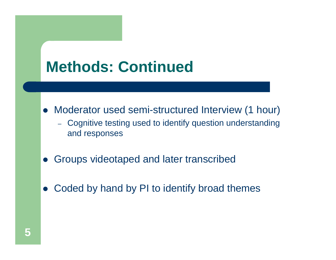# **Methods: Continued**

- $\bullet$  Moderator used semi-structured Interview (1 hour)
	- Cognitive testing used to identify question understanding and responses
- $\bullet$ Groups videotaped and later transcribed
- $\bullet$ Coded by hand by PI to identify broad themes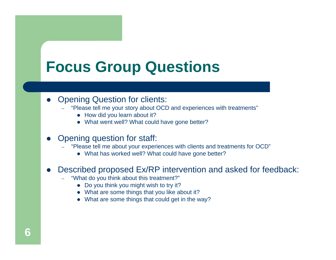## **Focus Group Questions**

#### $\bullet$ Opening Question for clients:

- "Please tell me your story about OCD and experiences with treatments"
	- How did you learn about it?
	- What went well? What could have gone better?

#### $\bullet$ Opening question for staff:

- "Please tell me about your experiences with clients and treatments for OCD"
	- What has worked well? What could have gone better?

#### $\bullet$ Described proposed Ex/RP intervention and asked for feedback:

- "What do you think about this treatment?"
	- Do you think you might wish to try it?
	- What are some things that you like about it?
	- What are some things that could get in the way?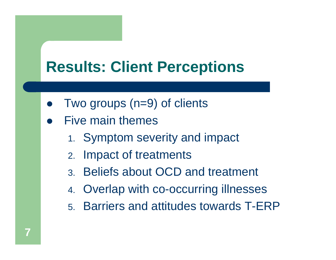# **Results: Client Perceptions**

- $\bullet$ Two groups (n=9) of clients
- $\bullet$  Five main themes
	- 1. Symptom severity and impact
	- 2. Impact of treatments
	- 3. Beliefs about OCD and treatment
	- 4. Overlap with co-occurring illnesses
	- 5. Barriers and attitudes towards T-ERP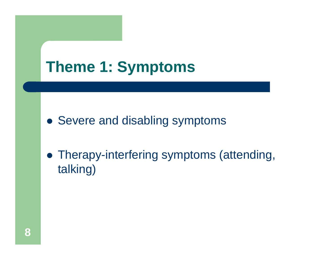# **Theme 1: Symptoms**

Severe and disabling symptoms

 Therapy-interfering symptoms (attending, talking)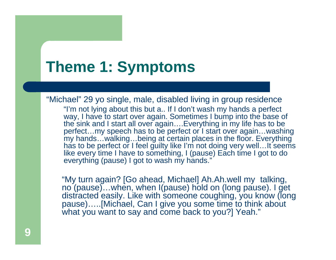# **Theme 1: Symptoms**

"Michael" 29 yo single, male, disabled living in group residence "I'm not lying about this but a.. If I don't wash my hands a perfect way, I have to start over again. Sometimes I bump into the base of the sink and I start all over again….Everything in my life has to be perfect…my speech has to be perfect or I start over again…washing my hands…walking…being at certain places in the floor. Everything has to be perfect or I feel guilty like I'm not doing very well... It seems like every time I have to something, I (pause) Each time I got to do everything (pause) I got to wash my hands."

"My turn again? [Go ahead, Michael] Ah.Ah.well my talking, no (pause)…when, when I(pause) hold on (long pause). I get distracted easily. Like with someone coughing, you know (long pause)…..[Michael, Can I give you some time to think about what you want to say and come back to you?] Yeah."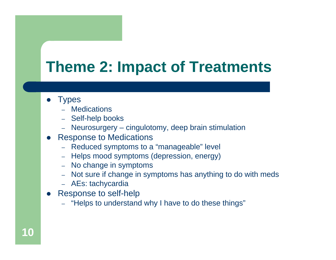# **Theme 2: Impact of Treatments**

- $\bullet$ **Types** 
	- Medications
	- Self-help books
	- Neurosurgery cingulotomy, deep brain stimulation
- $\bullet$  Response to Medications
	- Reduced symptoms to a "manageable" level
	- Helps mood symptoms (depression, energy)
	- No change in symptoms
	- Not sure if change in symptoms has anything to do with meds
	- AEs: tachycardia
- $\bullet$  Response to self-help
	- "Helps to understand why I have to do these things"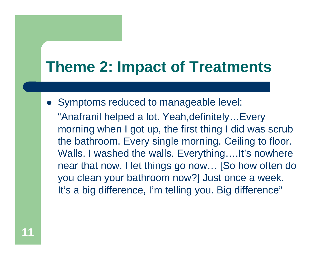# **Theme 2: Impact of Treatments**

 Symptoms reduced to manageable level: "Anafranil helped a lot. Yeah,definitely…Every morning when I got up, the first thing I did was scrub the bathroom. Every single morning. Ceiling to floor. Walls. I washed the walls. Everything....It's nowhere near that now. I let things go now… [So how often do you clean your bathroom now?] Just once a week. It's a big difference, I'm telling you. Big difference"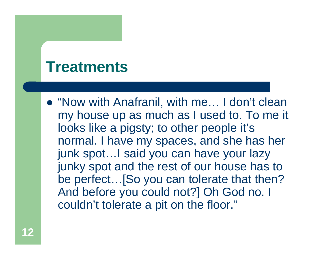### **Treatments**

● "Now with Anafranil, with me... I don't clean my house up as much as I used to. To me it looks like a pigsty; to other people it's normal. I have my spaces, and she has her junk spot…I said you can have your lazy junky spot and the rest of our house has to be perfect…[So you can tolerate that then? And before you could not?] Oh God no. I couldn't tolerate a pit on the floor."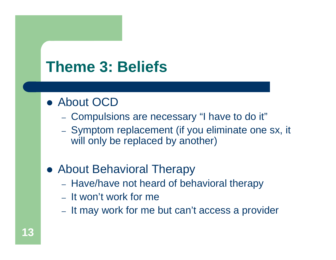# **Theme 3: Beliefs**

#### About OCD

- Compulsions are necessary "I have to do it"
- Symptom replacement (if you eliminate one sx, it will only be replaced by another)

#### About Behavioral Therapy

- Have/have not heard of behavioral therapy
- It won't work for me
- It may work for me but can't access a provider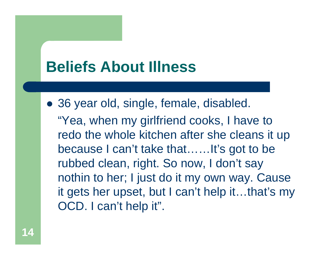## **Beliefs About Illness**

 36 year old, single, female, disabled. "Yea, when my girlfriend cooks, I have to redo the whole kitchen after she cleans it up because I can't take that……It's got to be rubbed clean, right. So now, I don't say nothin to her; I just do it my own way. Cause it gets her upset, but I can't help it…that's my OCD. I can't help it".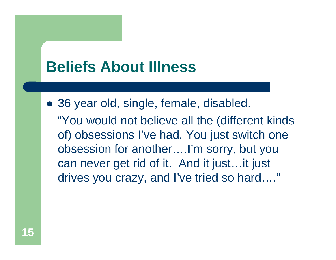## **Beliefs About Illness**

 36 year old, single, female, disabled. "You would not believe all the (different kinds of) obsessions I've had. You just switch one obsession for another….I'm sorry, but you can never get rid of it. And it just…it just drives you crazy, and I've tried so hard…."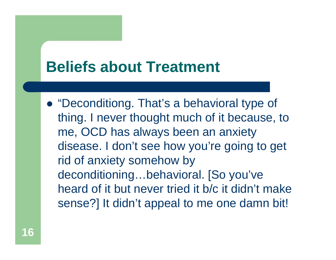## **Beliefs about Treatment**

 "Deconditiong. That's a behavioral type of thing. I never thought much of it because, to me, OCD has always been an anxiety disease. I don't see how you're going to get rid of anxiety somehow by deconditioning...behavioral. [So you've heard of it but never tried it b/c it didn't make sense?] It didn't appeal to me one damn bit!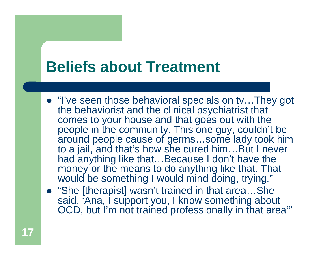## **Beliefs about Treatment**

- "I've seen those behavioral specials on tv...They got the behaviorist and the clinical psychiatrist that comes to your house and that goes out with the people in the community. This one guy, couldn't be around people cause of germs…some lady took him to a jail, and that's how she cured him…But I never had anything like that…Because I don't have the money or the means to do anything like that. That would be something I would mind doing, trying."
- "She [therapist] wasn't trained in that area...She said, 'Ana, I support you, I know something about OCD, but I'm not trained professionally in that area'"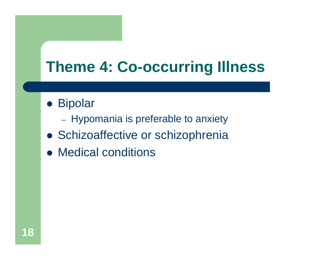# **Theme 4: Co-occurring Illness**

- **Bipolar** 
	- Hypomania is preferable to anxiety
- **Schizoaffective or schizophrenia**
- Medical conditions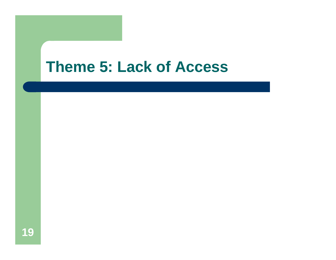#### **Theme 5: Lack of Access**

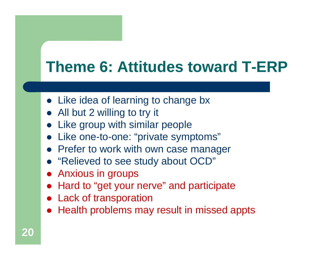# **Theme 6: Attitudes toward T-ERP**

- Like idea of learning to change bx
- All but 2 willing to try it
- Like group with similar people
- $\bullet$ Like one-to-one: "private symptoms"
- **Prefer to work with own case manager**
- "Relieved to see study about OCD"
- Anxious in groups
- Hard to "get your nerve" and participate
- Lack of transporation
- Health problems may result in missed appts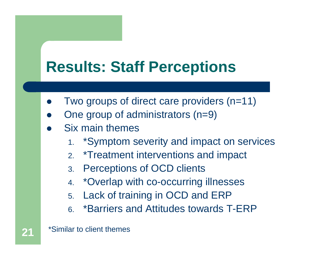# **Results: Staff Perceptions**

- $\bullet$ Two groups of direct care providers (n=11)
- $\bullet$ One group of administrators (n=9)
- $\bullet$  Six main themes
	- 1. \*Symptom severity and impact on services
	- 2. \*Treatment interventions and impact
	- 3. Perceptions of OCD clients
	- 4. \*Overlap with co-occurring illnesses
	- 5. Lack of training in OCD and ERP
	- 6. \*Barriers and Attitudes towards T-ERP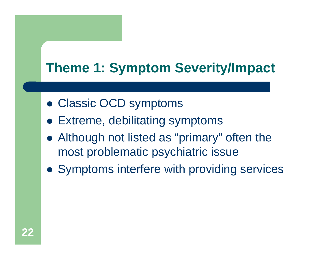### **Theme 1: Symptom Severity/Impact**

- Classic OCD symptoms
- Extreme, debilitating symptoms
- Although not listed as "primary" often the most problematic psychiatric issue
- Symptoms interfere with providing services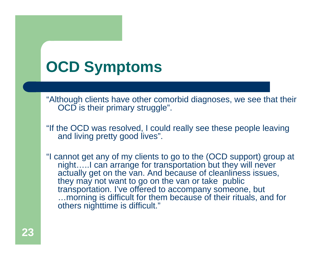# **OCD Symptoms**

"Although clients have other comorbid diagnoses, we see that their OCD is their primary struggle".

"If the OCD was resolved, I could really see these people leaving and living pretty good lives".

"I cannot get any of my clients to go to the (OCD support) group at night…..I can arrange for transportation but they will never actually get on the van. And because of cleanliness issues, they may not want to go on the van or take public transportation. I've offered to accompany someone, but …morning is difficult for them because of their rituals, and for others nighttime is difficult."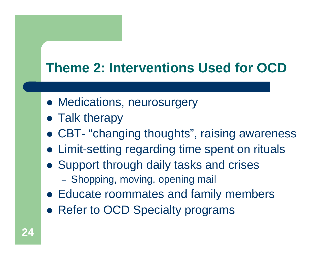#### **Theme 2: Interventions Used for OCD**

- Medications, neurosurgery
- Talk therapy
- CBT- "changing thoughts", raising awareness
- Limit-setting regarding time spent on rituals
- Support through daily tasks and crises
	- Shopping, moving, opening mail
- Educate roommates and family members
- Refer to OCD Specialty programs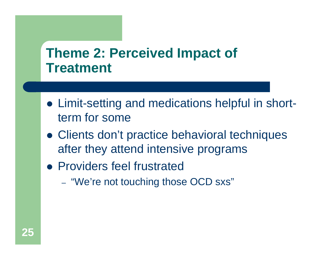#### **Theme 2: Perceived Impact of Treatment**

- Limit-setting and medications helpful in shortterm for some
- Clients don't practice behavioral techniques after they attend intensive programs
- **Providers feel frustrated** 
	- "We're not touching those OCD sxs"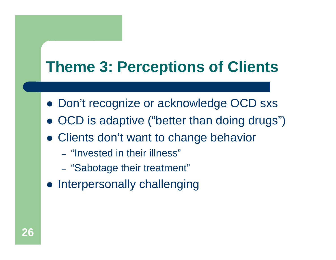# **Theme 3: Perceptions of Clients**

- Don't recognize or acknowledge OCD sxs
- $\bullet$ OCD is adaptive ("better than doing drugs")
- Clients don't want to change behavior
	- "Invested in their illness"
	- "Sabotage their treatment"
- **Interpersonally challenging**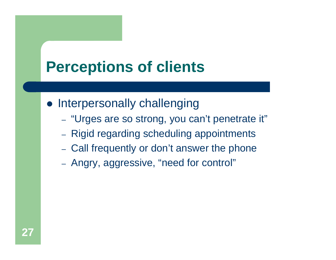# **Perceptions of clients**

- **Interpersonally challenging** 
	- "Urges are so strong, you can't penetrate it"
	- Rigid regarding scheduling appointments
	- Call frequently or don't answer the phone
	- Angry, aggressive, "need for control"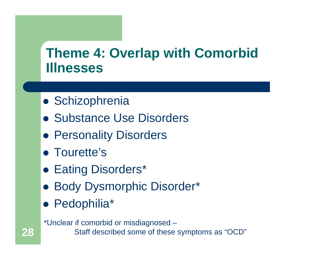#### **Theme 4: Overlap with Comorbid Illnesses**

- **Schizophrenia**
- Substance Use Disorders
- **Personality Disorders**
- **Tourette's**
- **Eating Disorders\***
- **Body Dysmorphic Disorder\***
- Pedophilia\*

**28**

\*Unclear if comorbid or misdiagnosed – Staff described some of these symptoms as "OCD"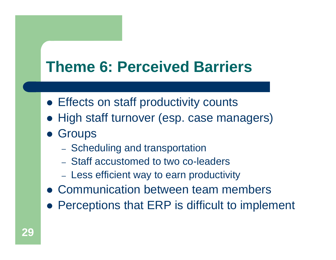# **Theme 6: Perceived Barriers**

- **Effects on staff productivity counts**
- High staff turnover (esp. case managers)
- **Groups** 
	- Scheduling and transportation
	- Staff accustomed to two co-leaders
	- Less efficient way to earn productivity
- Communication between team members
- Perceptions that ERP is difficult to implement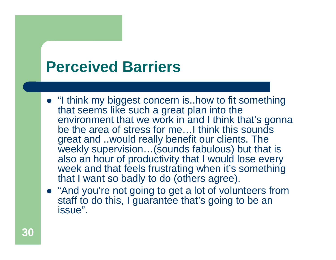## **Perceived Barriers**

- "I think my biggest concern is..how to fit something that seems like such a great plan into the environment that we work in and I think that's gonna be the area of stress for me…I think this sounds great and ..would really benefit our clients. The weekly supervision…(sounds fabulous) but that is also an hour of productivity that I would lose every week and that feels frustrating when it's something that I want so badly to do (others agree).
- "And you're not going to get a lot of volunteers from staff to do this, I guarantee that's going to be an issue".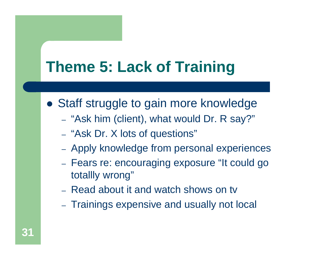# **Theme 5: Lack of Training**

- Staff struggle to gain more knowledge
	- "Ask him (client), what would Dr. R say?"
	- "Ask Dr. X lots of questions"
	- Apply knowledge from personal experiences
	- Fears re: encouraging exposure "It could go totallly wrong"
	- Read about it and watch shows on tv
	- Trainings expensive and usually not local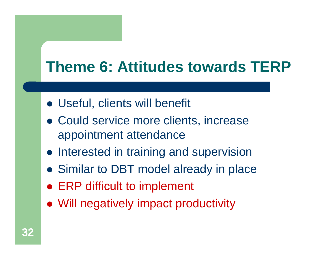# **Theme 6: Attitudes towards TERP**

- Useful, clients will benefit
- Could service more clients, increase appointment attendance
- **Interested in training and supervision**
- Similar to DBT model already in place
- **ERP difficult to implement**
- Will negatively impact productivity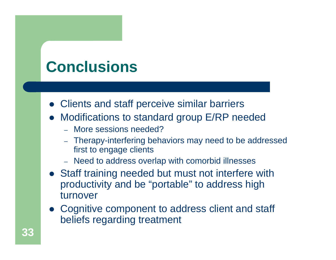# **Conclusions**

- Clients and staff perceive similar barriers
- Modifications to standard group E/RP needed
	- More sessions needed?
	- Therapy-interfering behaviors may need to be addressed first to engage clients
	- Need to address overlap with comorbid illnesses
- Staff training needed but must not interfere with productivity and be "portable" to address high turnover
- Cognitive component to address client and staff beliefs regarding treatment